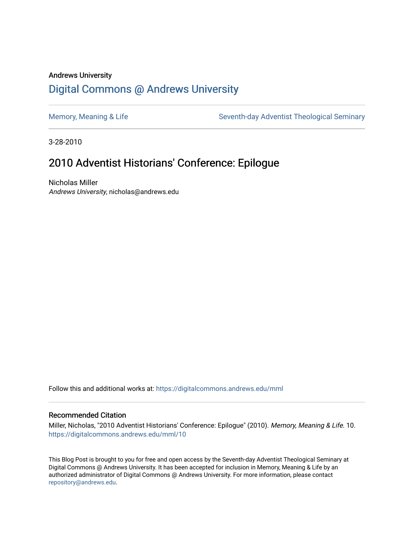### Andrews University [Digital Commons @ Andrews University](https://digitalcommons.andrews.edu/)

[Memory, Meaning & Life](https://digitalcommons.andrews.edu/mml) Seventh-day Adventist Theological Seminary

3-28-2010

## 2010 Adventist Historians' Conference: Epilogue

Nicholas Miller Andrews University, nicholas@andrews.edu

Follow this and additional works at: [https://digitalcommons.andrews.edu/mml](https://digitalcommons.andrews.edu/mml?utm_source=digitalcommons.andrews.edu%2Fmml%2F10&utm_medium=PDF&utm_campaign=PDFCoverPages) 

#### Recommended Citation

Miller, Nicholas, "2010 Adventist Historians' Conference: Epilogue" (2010). Memory, Meaning & Life. 10. [https://digitalcommons.andrews.edu/mml/10](https://digitalcommons.andrews.edu/mml/10?utm_source=digitalcommons.andrews.edu%2Fmml%2F10&utm_medium=PDF&utm_campaign=PDFCoverPages)

This Blog Post is brought to you for free and open access by the Seventh-day Adventist Theological Seminary at Digital Commons @ Andrews University. It has been accepted for inclusion in Memory, Meaning & Life by an authorized administrator of Digital Commons @ Andrews University. For more information, please contact [repository@andrews.edu](mailto:repository@andrews.edu).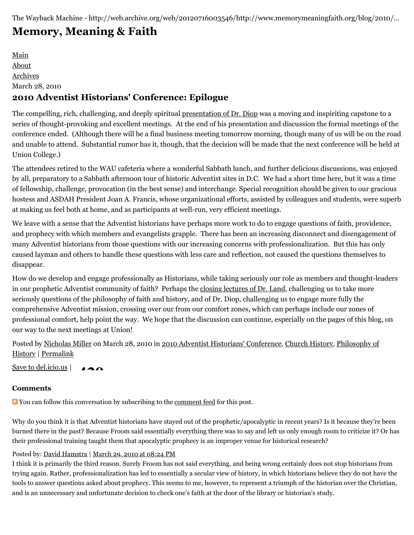# **[Memory, Meaning & Faith](http://web.archive.org/web/20120716003546/http://www.memorymeaningfaith.org/blog/)**

[Main](http://web.archive.org/web/20120716003546/http://www.memorymeaningfaith.org/blog) [About](http://web.archive.org/web/20120716003546/http://www.memorymeaningfaith.org/blog/about.html) [Archives](http://web.archive.org/web/20120716003546/http://www.memorymeaningfaith.org/blog/archives.html) March 28, 2010 **2010 Adventist Historians' Conference: Epilogue**

The compelling, rich, challenging, and deeply spiritual [presentation of Dr. Diop](http://web.archive.org/web/20120716003546/http://www.memorymeaningfaith.org/blog/2010/03/2010-adventist-historians-conference-sabbath.html) was a moving and inspiriting capstone to a series of thought-provoking and excellent meetings. At the end of his presentation and discussion the formal meetings of the conference ended. (Although there will be a final business meeting tomorrow morning, though many of us will be on the road and unable to attend. Substantial rumor has it, though, that the decision will be made that the next conference will be held at Union College.)

The attendees retired to the WAU cafeteria where a wonderful Sabbath lunch, and further delicious discussions, was enjoyed by all, preparatory to a Sabbath afternoon tour of historic Adventist sites in D.C. We had a short time here, but it was a time of fellowship, challenge, provocation (in the best sense) and interchange. Special recognition should be given to our gracious hostess and ASDAH President Joan A. Francis, whose organizational efforts, assisted by colleagues and students, were superb at making us feel both at home, and as participants at well-run, very efficient meetings.

We leave with a sense that the Adventist historians have perhaps more work to do to engage questions of faith, providence, and prophecy with which members and evangelists grapple. There has been an increasing disconnect and disengagement of many Adventist historians from those questions with our increasing concerns with professionalization. But this has only caused layman and others to handle these questions with less care and reflection, not caused the questions themselves to disappear.

How do we develop and engage professionally as Historians, while taking seriously our role as members and thought-leaders in our prophetic Adventist community of faith? Perhaps the [closing lectures of Dr. Land](http://web.archive.org/web/20120716003546/http://www.memorymeaningfaith.org/blog/2010/03/2010-adventist-historians-conference-sabbath.html), challenging us to take more seriously questions of the philosophy of faith and history, and of Dr. Diop, challenging us to engage more fully the comprehensive Adventist mission, crossing over our from our comfort zones, which can perhaps include our zones of professional comfort, help point the way. We hope that the discussion can continue, especially on the pages of this blog, on our way to the next meetings at Union!

[Posted by N](http://web.archive.org/web/20120716003546/http://www.memorymeaningfaith.org/blog/philosophy-of-history/)[icholas Miller](http://web.archive.org/web/20120716003546/http://profile.typepad.com/npmiller) [on March 28, 2010 in](http://web.archive.org/web/20120716003546/http://www.memorymeaningfaith.org/blog/philosophy-of-history/) [2010 Adventist Historians' Conference](http://web.archive.org/web/20120716003546/http://www.memorymeaningfaith.org/blog/2010-adventist-historians-conference/)[, C](http://web.archive.org/web/20120716003546/http://www.memorymeaningfaith.org/blog/philosophy-of-history/)[hurch History](http://web.archive.org/web/20120716003546/http://www.memorymeaningfaith.org/blog/church-history/)[, Philosophy of](http://web.archive.org/web/20120716003546/http://www.memorymeaningfaith.org/blog/philosophy-of-history/) History | [Permalink](http://web.archive.org/web/20120716003546/http://www.memorymeaningfaith.org/blog/2010/03/2010-adventist-historians-conference-epilogue.html)

[Save to del.icio.us](http://web.archive.org/web/20120716003546/http://del.icio.us/post)  $| \bullet \bullet \bullet$ 

#### **Comments**

**N** You can follow this conversation by subscribing to the [comment feed](http://web.archive.org/web/20120716003546/http://www.memorymeaningfaith.org/blog/2010/03/2010-adventist-historians-conference-epilogue/comments/atom.xml) for this post.

Why do you think it is that Adventist historians have stayed out of the prophetic/apocalyptic in recent years? Is it because they're been burned there in the past? Because Froom said essentially everything there was to say and left us only enough room to criticize it? Or has their professional training taught them that apocalyptic prophecy is an improper venue for historical research?

#### Posted by: [David Hamstra](http://web.archive.org/web/20120716003546/http://profile.typepad.com/davidhamstra) | [March 29, 2010 at 08:24 PM](http://web.archive.org/web/20120716003546/http://www.memorymeaningfaith.org/blog/2010/03/2010-adventist-historians-conference-epilogue.html?cid=6a01287656f488970c0133ec512228970b#comment-6a01287656f488970c0133ec512228970b)

I think it is primarily the third reason. Surely Froom has not said everything, and being wrong certainly does not stop historians from trying again. Rather, professionalization has led to essentially a secular view of history, in which historians believe they do not have the tools to answer questions asked about prophecy. This seems to me, however, to represent a triumph of the historian over the Christian, and is an unnecessary and unfortunate decision to check one's faith at the door of the library or historian's study.